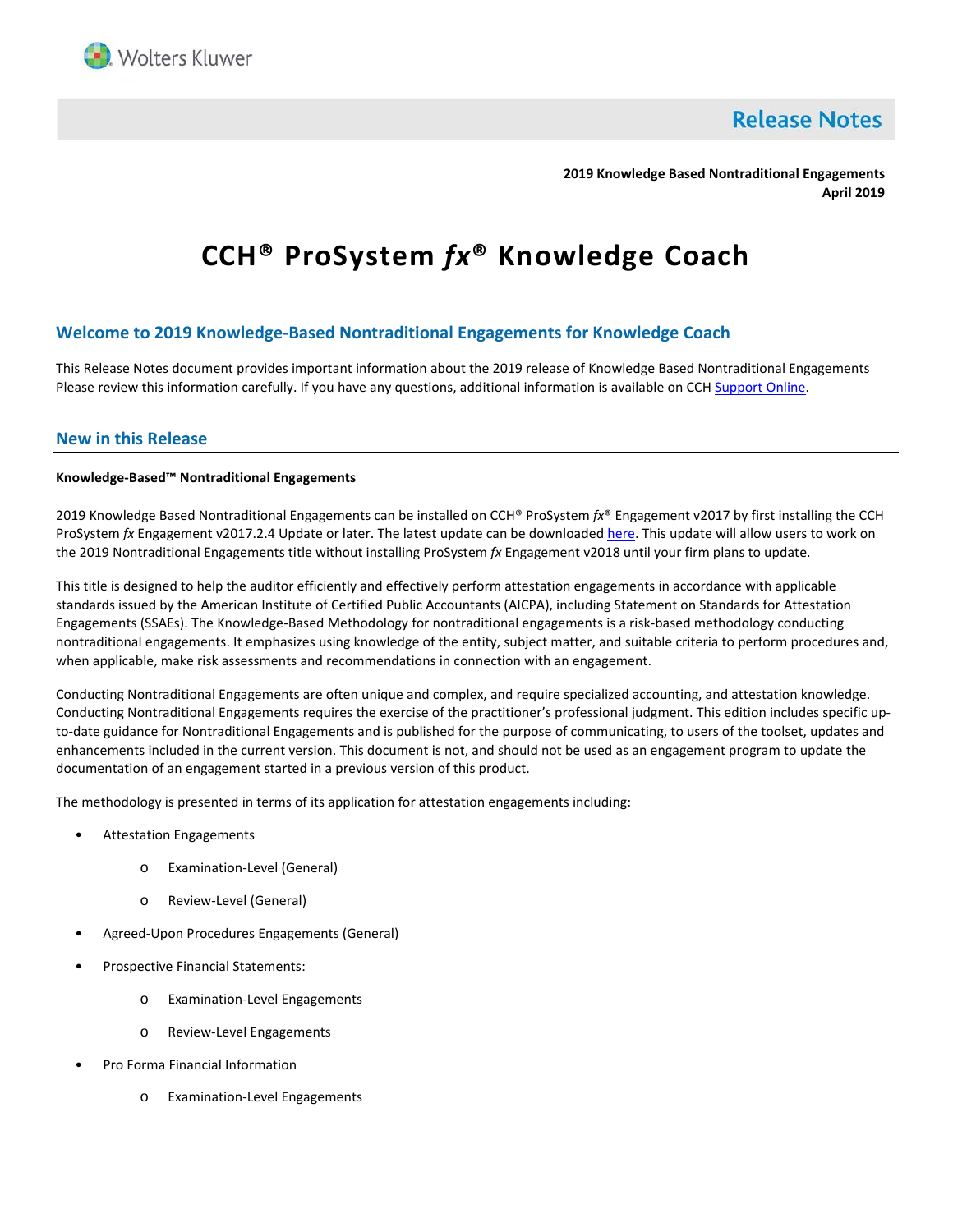

**Release Notes** 

**2019 Knowledge Based Nontraditional Engagements April 2019**

# **CCH® ProSystem** *fx***® Knowledge Coach**

# **Welcome to 2019 Knowledge-Based Nontraditional Engagements for Knowledge Coach**

This Release Notes document provides important information about the 2019 release of Knowledge Based Nontraditional Engagements Please review this information carefully. If you have any questions, additional information is available on CC[H Support Online.](http://support.cch.com/productsupport/)

## **New in this Release**

## **Knowledge-Based™ Nontraditional Engagements**

2019 Knowledge Based Nontraditional Engagements can be installed on CCH® ProSystem *fx*® Engagement v2017 by first installing the CCH ProSystem *fx* Engagement v2017.2.4 Update or later. The latest update can be downloade[d here.](https://support.cch.com/updates/Engagement/release2017/release2017.aspx) This update will allow users to work on the 2019 Nontraditional Engagements title without installing ProSystem *fx* Engagement v2018 until your firm plans to update.

This title is designed to help the auditor efficiently and effectively perform attestation engagements in accordance with applicable standards issued by the American Institute of Certified Public Accountants (AICPA), including Statement on Standards for Attestation Engagements (SSAEs). The Knowledge-Based Methodology for nontraditional engagements is a risk-based methodology conducting nontraditional engagements. It emphasizes using knowledge of the entity, subject matter, and suitable criteria to perform procedures and, when applicable, make risk assessments and recommendations in connection with an engagement.

Conducting Nontraditional Engagements are often unique and complex, and require specialized accounting, and attestation knowledge. Conducting Nontraditional Engagements requires the exercise of the practitioner's professional judgment. This edition includes specific upto-date guidance for Nontraditional Engagements and is published for the purpose of communicating, to users of the toolset, updates and enhancements included in the current version. This document is not, and should not be used as an engagement program to update the documentation of an engagement started in a previous version of this product.

The methodology is presented in terms of its application for attestation engagements including:

- Attestation Engagements
	- o Examination-Level (General)
	- o Review-Level (General)
- Agreed-Upon Procedures Engagements (General)
- Prospective Financial Statements:
	- o Examination-Level Engagements
	- o Review-Level Engagements
- Pro Forma Financial Information
	- o Examination-Level Engagements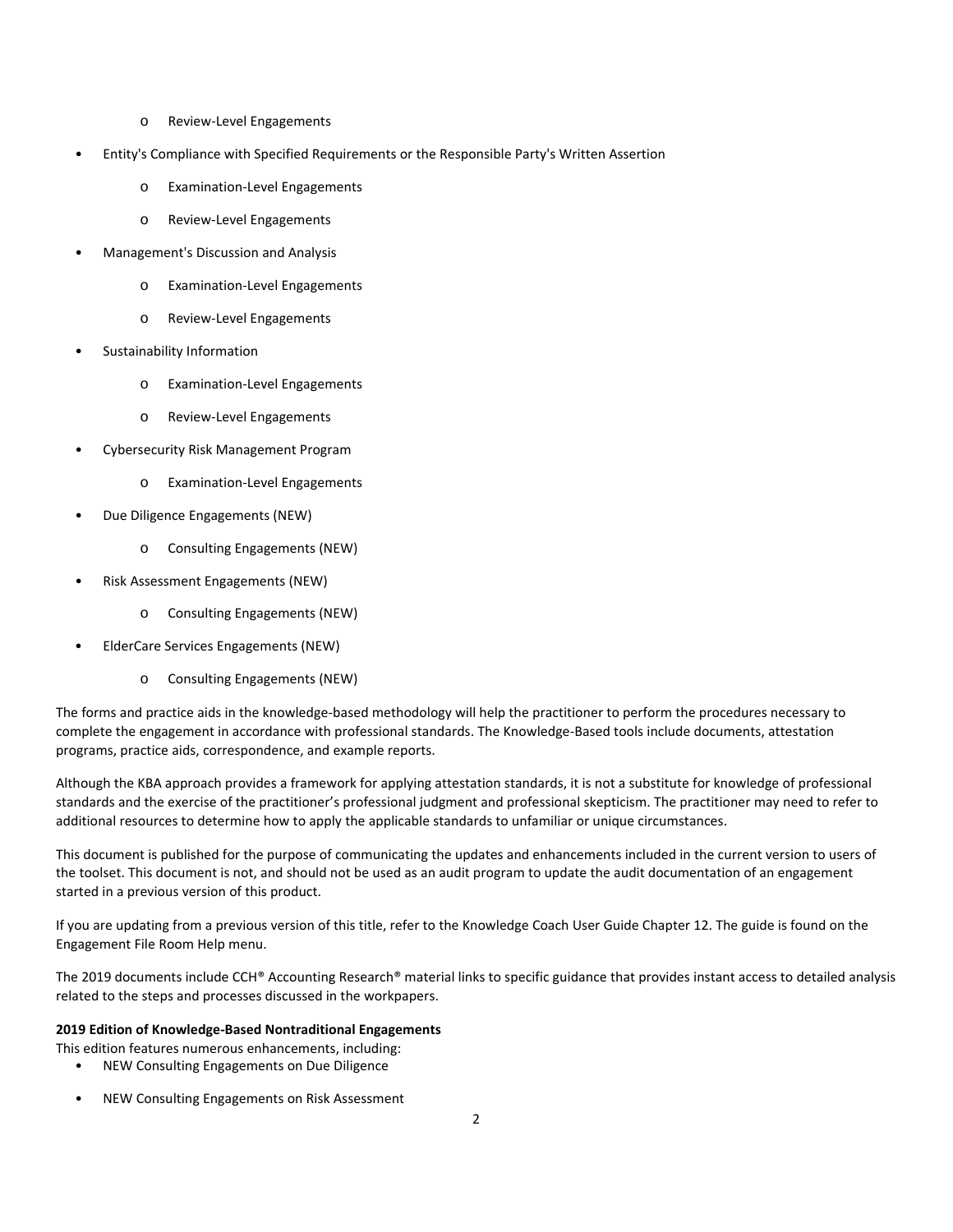- o Review-Level Engagements
- Entity's Compliance with Specified Requirements or the Responsible Party's Written Assertion
	- o Examination-Level Engagements
	- o Review-Level Engagements
- Management's Discussion and Analysis
	- o Examination-Level Engagements
	- o Review-Level Engagements
- Sustainability Information
	- o Examination-Level Engagements
	- o Review-Level Engagements
- Cybersecurity Risk Management Program
	- o Examination-Level Engagements
- Due Diligence Engagements (NEW)
	- o Consulting Engagements (NEW)
- Risk Assessment Engagements (NEW)
	- o Consulting Engagements (NEW)
- ElderCare Services Engagements (NEW)
	- o Consulting Engagements (NEW)

The forms and practice aids in the knowledge-based methodology will help the practitioner to perform the procedures necessary to complete the engagement in accordance with professional standards. The Knowledge-Based tools include documents, attestation programs, practice aids, correspondence, and example reports.

Although the KBA approach provides a framework for applying attestation standards, it is not a substitute for knowledge of professional standards and the exercise of the practitioner's professional judgment and professional skepticism. The practitioner may need to refer to additional resources to determine how to apply the applicable standards to unfamiliar or unique circumstances.

This document is published for the purpose of communicating the updates and enhancements included in the current version to users of the toolset. This document is not, and should not be used as an audit program to update the audit documentation of an engagement started in a previous version of this product.

If you are updating from a previous version of this title, refer to the Knowledge Coach User Guide Chapter 12. The guide is found on the Engagement File Room Help menu.

The 2019 documents include CCH® Accounting Research® material links to specific guidance that provides instant access to detailed analysis related to the steps and processes discussed in the workpapers.

#### **2019 Edition of Knowledge-Based Nontraditional Engagements**

- This edition features numerous enhancements, including:
	- NEW Consulting Engagements on Due Diligence
	- NEW Consulting Engagements on Risk Assessment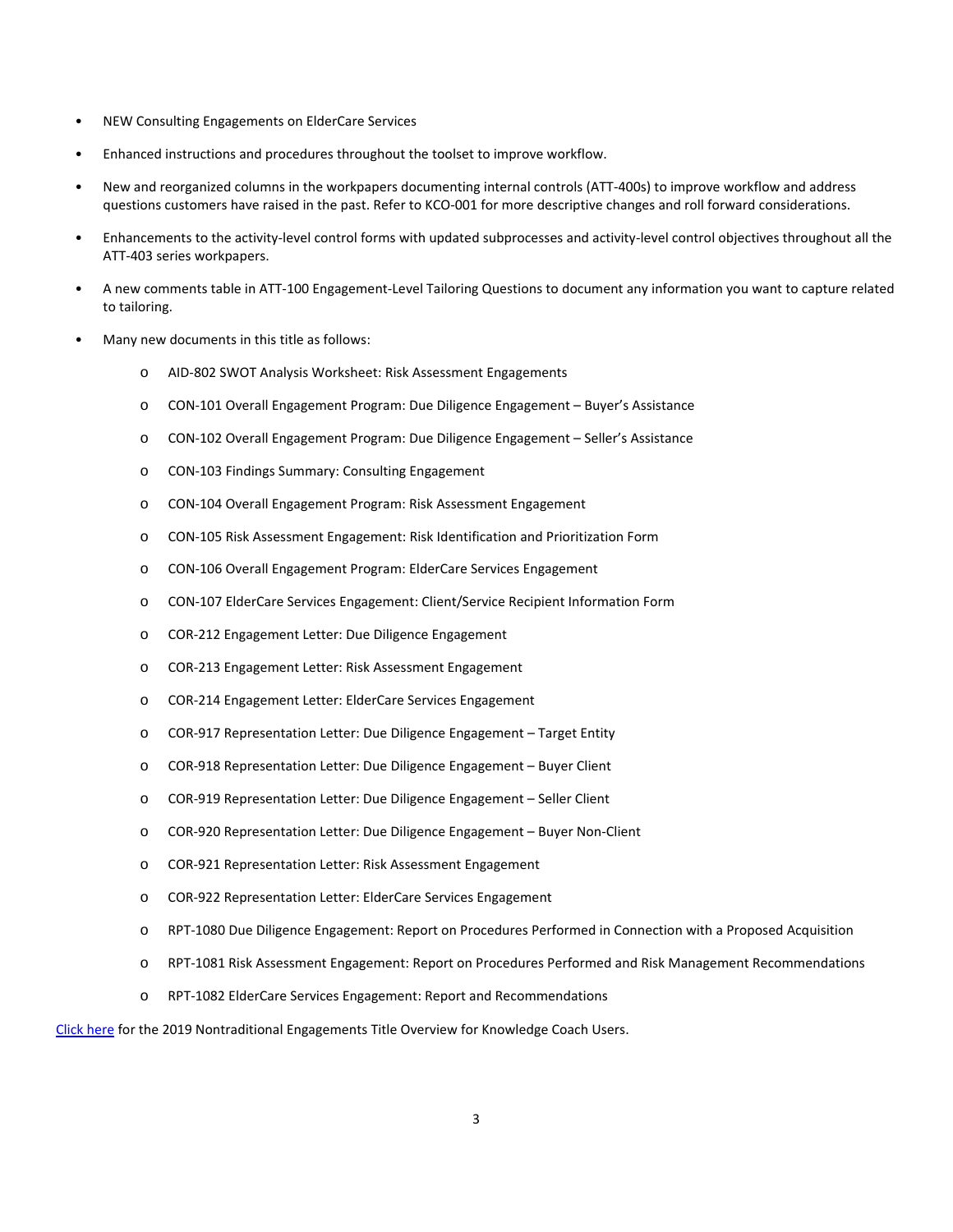- NEW Consulting Engagements on ElderCare Services
- Enhanced instructions and procedures throughout the toolset to improve workflow.
- New and reorganized columns in the workpapers documenting internal controls (ATT-400s) to improve workflow and address questions customers have raised in the past. Refer to KCO-001 for more descriptive changes and roll forward considerations.
- Enhancements to the activity-level control forms with updated subprocesses and activity-level control objectives throughout all the ATT-403 series workpapers.
- A new comments table in ATT-100 Engagement-Level Tailoring Questions to document any information you want to capture related to tailoring.
- Many new documents in this title as follows:
	- o AID-802 SWOT Analysis Worksheet: Risk Assessment Engagements
	- o CON-101 Overall Engagement Program: Due Diligence Engagement Buyer's Assistance
	- o CON-102 Overall Engagement Program: Due Diligence Engagement Seller's Assistance
	- o CON-103 Findings Summary: Consulting Engagement
	- o CON-104 Overall Engagement Program: Risk Assessment Engagement
	- o CON-105 Risk Assessment Engagement: Risk Identification and Prioritization Form
	- o CON-106 Overall Engagement Program: ElderCare Services Engagement
	- o CON-107 ElderCare Services Engagement: Client/Service Recipient Information Form
	- o COR-212 Engagement Letter: Due Diligence Engagement
	- o COR-213 Engagement Letter: Risk Assessment Engagement
	- o COR-214 Engagement Letter: ElderCare Services Engagement
	- o COR-917 Representation Letter: Due Diligence Engagement Target Entity
	- o COR-918 Representation Letter: Due Diligence Engagement Buyer Client
	- o COR-919 Representation Letter: Due Diligence Engagement Seller Client
	- o COR-920 Representation Letter: Due Diligence Engagement Buyer Non-Client
	- o COR-921 Representation Letter: Risk Assessment Engagement
	- o COR-922 Representation Letter: ElderCare Services Engagement
	- o RPT-1080 Due Diligence Engagement: Report on Procedures Performed in Connection with a Proposed Acquisition
	- o RPT-1081 Risk Assessment Engagement: Report on Procedures Performed and Risk Management Recommendations
	- o RPT-1082 ElderCare Services Engagement: Report and Recommendations

[Click here](http://support.cch.com/updates/KnowledgeCoach/pdf/guides_tab/2019%20NTE%20Title%20Overview%20for%20Knowledge%20Coach%20Users.pdf) for the 2019 Nontraditional Engagements Title Overview for Knowledge Coach Users.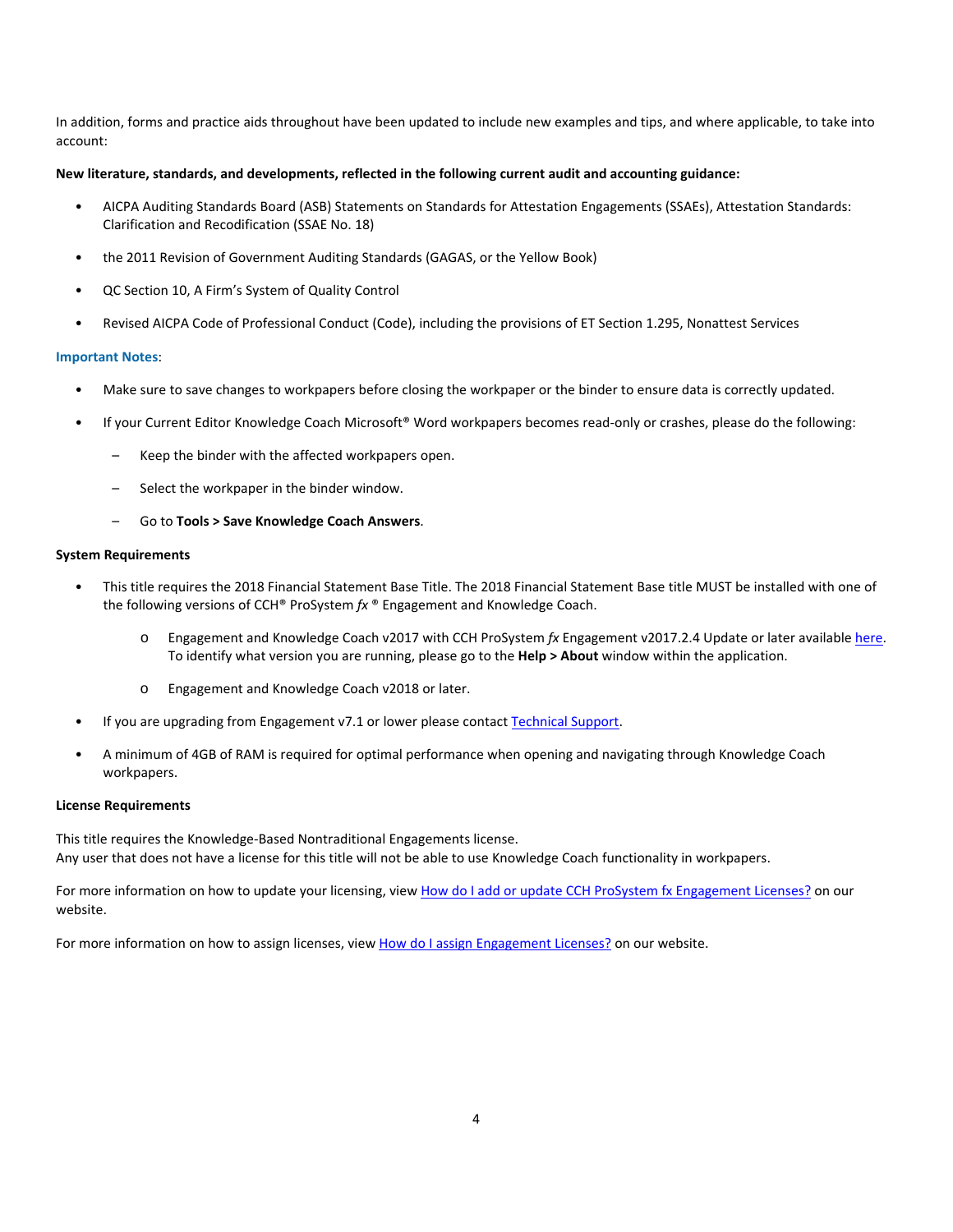In addition, forms and practice aids throughout have been updated to include new examples and tips, and where applicable, to take into account:

#### **New literature, standards, and developments, reflected in the following current audit and accounting guidance:**

- AICPA Auditing Standards Board (ASB) Statements on Standards for Attestation Engagements (SSAEs), Attestation Standards: Clarification and Recodification (SSAE No. 18)
- the 2011 Revision of Government Auditing Standards (GAGAS, or the Yellow Book)
- QC Section 10, A Firm's System of Quality Control
- Revised AICPA Code of Professional Conduct (Code), including the provisions of ET Section 1.295, Nonattest Services

## **Important Notes**:

- Make sure to save changes to workpapers before closing the workpaper or the binder to ensure data is correctly updated.
- If your Current Editor Knowledge Coach Microsoft® Word workpapers becomes read-only or crashes, please do the following:
	- Keep the binder with the affected workpapers open.
	- Select the workpaper in the binder window.
	- Go to **Tools > Save Knowledge Coach Answers**.

## **System Requirements**

- This title requires the 2018 Financial Statement Base Title. The 2018 Financial Statement Base title MUST be installed with one of the following versions of CCH® ProSystem *fx* ® Engagement and Knowledge Coach.
	- o Engagement and Knowledge Coach v2017 with CCH ProSystem *fx* Engagement v2017.2.4 Update or later availabl[e here.](https://support.cch.com/updates/Engagement/release2017/release2017.aspx)  To identify what version you are running, please go to the **Help > About** window within the application.
	- o Engagement and Knowledge Coach v2018 or later.
- If you are upgrading from Engagement v7.1 or lower please contac[t Technical Support.](https://support.cch.com/contact)
- A minimum of 4GB of RAM is required for optimal performance when opening and navigating through Knowledge Coach workpapers.

#### **License Requirements**

This title requires the Knowledge-Based Nontraditional Engagements license. Any user that does not have a license for this title will not be able to use Knowledge Coach functionality in workpapers.

For more information on how to update your licensing, vie[w How do I add or update CCH ProSystem fx Engagement Licenses?](https://support.cch.com/kb/solution.aspx/sw3937) on our website.

For more information on how to assign licenses, view [How do I assign Engagement Licenses?](https://support.cch.com/kb/solution.aspx/sw3943) on our website.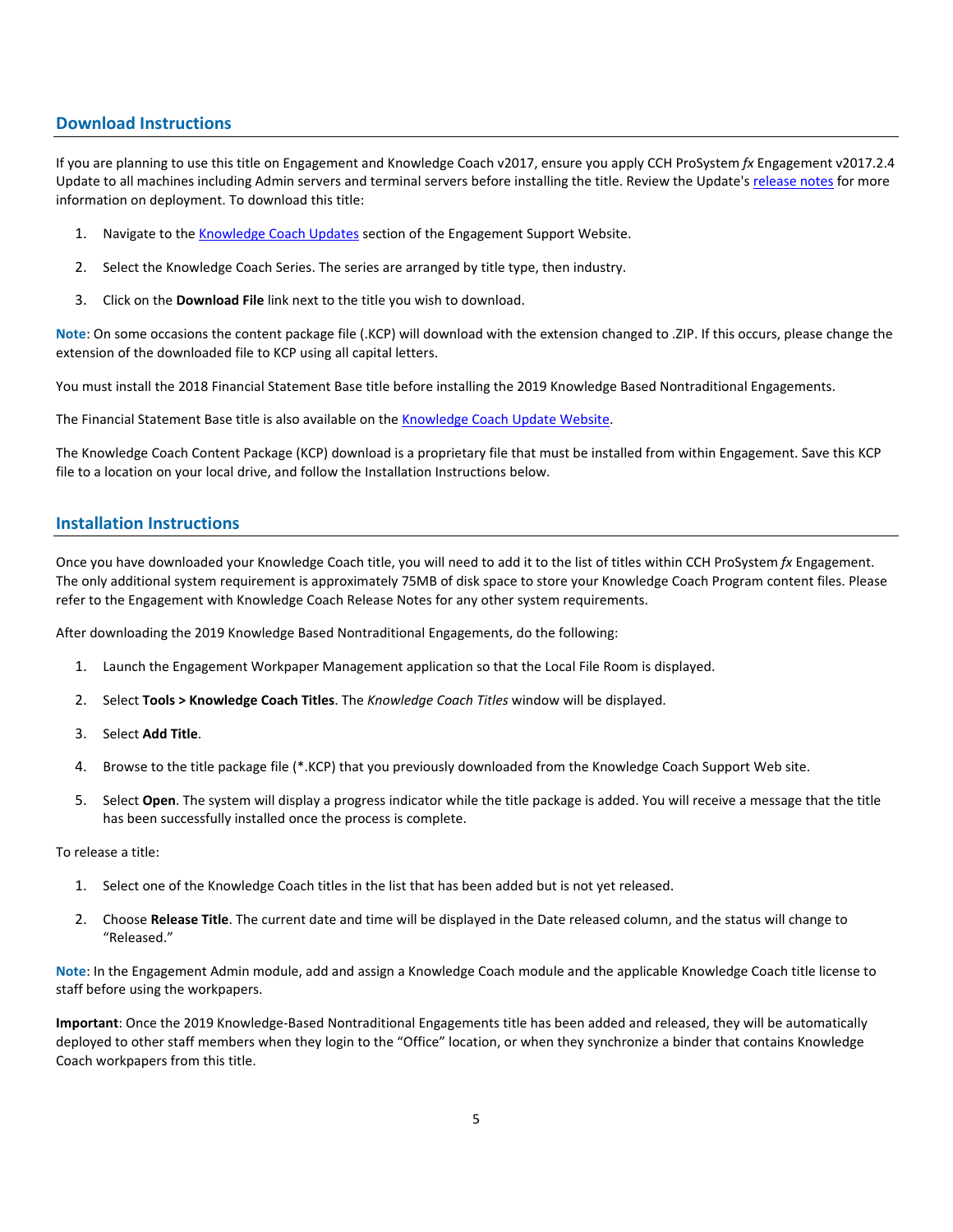## **Download Instructions**

If you are planning to use this title on Engagement and Knowledge Coach v2017, ensure you apply CCH ProSystem *fx* Engagement v2017.2.4 Update to all machines including Admin servers and terminal servers before installing the title. Review the Update's [release notes](https://d2iceilwdglxpz.cloudfront.net/release_notes/CCH%20ProSystem%20fx%20Engagement%20Release%20Notes%202017.2.4.pdf) for more information on deployment. To download this title:

- 1. Navigate to the [Knowledge Coach Updates](http://support.cch.com/updates/KnowledgeCoach) section of the Engagement Support Website.
- 2. Select the Knowledge Coach Series. The series are arranged by title type, then industry.
- 3. Click on the **Download File** link next to the title you wish to download.

**Note**: On some occasions the content package file (.KCP) will download with the extension changed to .ZIP. If this occurs, please change the extension of the downloaded file to KCP using all capital letters.

You must install the 2018 Financial Statement Base title before installing the 2019 Knowledge Based Nontraditional Engagements.

The Financial Statement Base title is also available on th[e Knowledge Coach Update Website.](http://support.cch.com/updates/KnowledgeCoach)

The Knowledge Coach Content Package (KCP) download is a proprietary file that must be installed from within Engagement. Save this KCP file to a location on your local drive, and follow the Installation Instructions below.

## **Installation Instructions**

Once you have downloaded your Knowledge Coach title, you will need to add it to the list of titles within CCH ProSystem *fx* Engagement. The only additional system requirement is approximately 75MB of disk space to store your Knowledge Coach Program content files. Please refer to the Engagement with Knowledge Coach Release Notes for any other system requirements.

After downloading the 2019 Knowledge Based Nontraditional Engagements, do the following:

- 1. Launch the Engagement Workpaper Management application so that the Local File Room is displayed.
- 2. Select **Tools > Knowledge Coach Titles**. The *Knowledge Coach Titles* window will be displayed.
- 3. Select **Add Title**.
- 4. Browse to the title package file (\*.KCP) that you previously downloaded from the Knowledge Coach Support Web site.
- 5. Select **Open**. The system will display a progress indicator while the title package is added. You will receive a message that the title has been successfully installed once the process is complete.

To release a title:

- 1. Select one of the Knowledge Coach titles in the list that has been added but is not yet released.
- 2. Choose **Release Title**. The current date and time will be displayed in the Date released column, and the status will change to "Released."

**Note**: In the Engagement Admin module, add and assign a Knowledge Coach module and the applicable Knowledge Coach title license to staff before using the workpapers.

**Important**: Once the 2019 Knowledge-Based Nontraditional Engagements title has been added and released, they will be automatically deployed to other staff members when they login to the "Office" location, or when they synchronize a binder that contains Knowledge Coach workpapers from this title.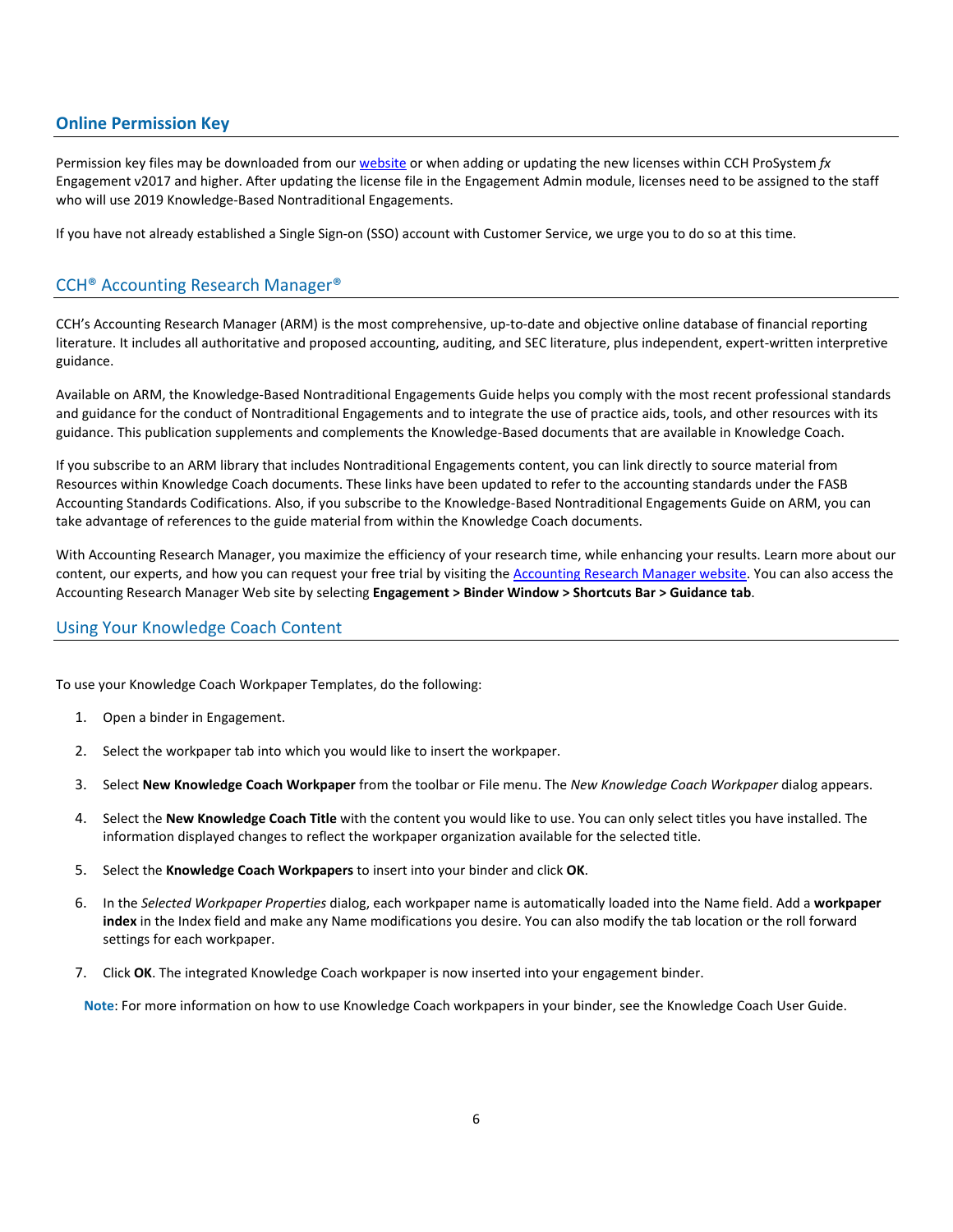# **Online Permission Key**

Permission key files may be downloaded from our [website](https://prosystemfxsupport.tax.cchgroup.com/permkey/download.aspx) or when adding or updating the new licenses within CCH ProSystem *fx* Engagement v2017 and higher. After updating the license file in the Engagement Admin module, licenses need to be assigned to the staff who will use 2019 Knowledge-Based Nontraditional Engagements.

If you have not already established a Single Sign-on (SSO) account with Customer Service, we urge you to do so at this time.

## CCH® Accounting Research Manager®

CCH's Accounting Research Manager (ARM) is the most comprehensive, up-to-date and objective online database of financial reporting literature. It includes all authoritative and proposed accounting, auditing, and SEC literature, plus independent, expert-written interpretive guidance.

Available on ARM, the Knowledge-Based Nontraditional Engagements Guide helps you comply with the most recent professional standards and guidance for the conduct of Nontraditional Engagements and to integrate the use of practice aids, tools, and other resources with its guidance. This publication supplements and complements the Knowledge-Based documents that are available in Knowledge Coach.

If you subscribe to an ARM library that includes Nontraditional Engagements content, you can link directly to source material from Resources within Knowledge Coach documents. These links have been updated to refer to the accounting standards under the FASB Accounting Standards Codifications. Also, if you subscribe to the Knowledge-Based Nontraditional Engagements Guide on ARM, you can take advantage of references to the guide material from within the Knowledge Coach documents.

With Accounting Research Manager, you maximize the efficiency of your research time, while enhancing your results. Learn more about our content, our experts, and how you can request your free trial by visiting the [Accounting Research Manager website.](http://www.accountingresearchmanager.com/) You can also access the Accounting Research Manager Web site by selecting **Engagement > Binder Window > Shortcuts Bar > Guidance tab**.

## Using Your Knowledge Coach Content

To use your Knowledge Coach Workpaper Templates, do the following:

- 1. Open a binder in Engagement.
- 2. Select the workpaper tab into which you would like to insert the workpaper.
- 3. Select **New Knowledge Coach Workpaper** from the toolbar or File menu. The *New Knowledge Coach Workpaper* dialog appears.
- 4. Select the **New Knowledge Coach Title** with the content you would like to use. You can only select titles you have installed. The information displayed changes to reflect the workpaper organization available for the selected title.
- 5. Select the **Knowledge Coach Workpapers** to insert into your binder and click **OK**.
- 6. In the *Selected Workpaper Properties* dialog, each workpaper name is automatically loaded into the Name field. Add a **workpaper index** in the Index field and make any Name modifications you desire. You can also modify the tab location or the roll forward settings for each workpaper.
- 7. Click **OK**. The integrated Knowledge Coach workpaper is now inserted into your engagement binder.

**Note**: For more information on how to use Knowledge Coach workpapers in your binder, see the Knowledge Coach User Guide.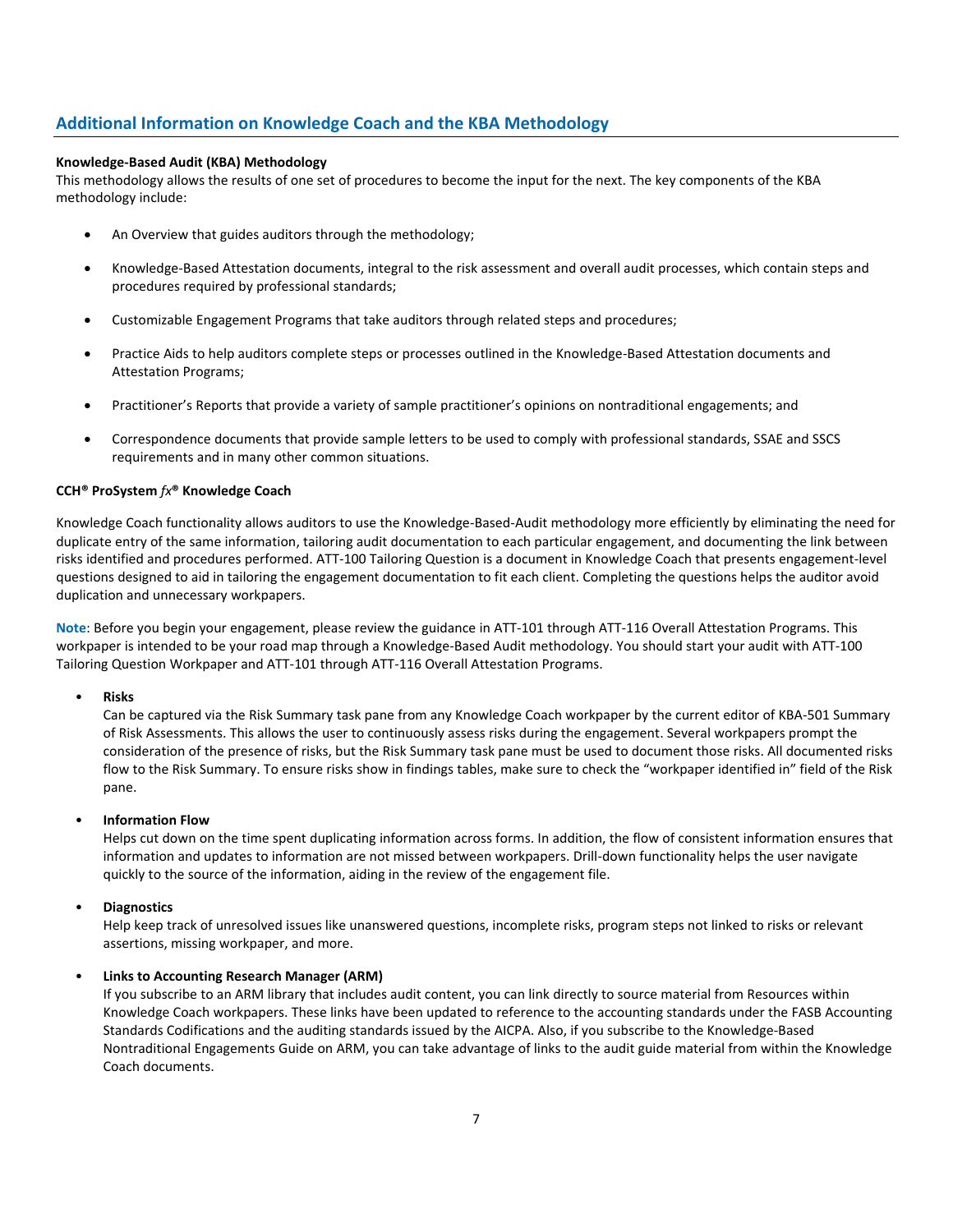# **Additional Information on Knowledge Coach and the KBA Methodology**

## **Knowledge-Based Audit (KBA) Methodology**

This methodology allows the results of one set of procedures to become the input for the next. The key components of the KBA methodology include:

- An Overview that guides auditors through the methodology;
- Knowledge-Based Attestation documents, integral to the risk assessment and overall audit processes, which contain steps and procedures required by professional standards;
- Customizable Engagement Programs that take auditors through related steps and procedures;
- Practice Aids to help auditors complete steps or processes outlined in the Knowledge-Based Attestation documents and Attestation Programs;
- Practitioner's Reports that provide a variety of sample practitioner's opinions on nontraditional engagements; and
- Correspondence documents that provide sample letters to be used to comply with professional standards, SSAE and SSCS requirements and in many other common situations.

## **CCH® ProSystem** *fx***® Knowledge Coach**

Knowledge Coach functionality allows auditors to use the Knowledge-Based-Audit methodology more efficiently by eliminating the need for duplicate entry of the same information, tailoring audit documentation to each particular engagement, and documenting the link between risks identified and procedures performed. ATT-100 Tailoring Question is a document in Knowledge Coach that presents engagement-level questions designed to aid in tailoring the engagement documentation to fit each client. Completing the questions helps the auditor avoid duplication and unnecessary workpapers.

**Note**: Before you begin your engagement, please review the guidance in ATT-101 through ATT-116 Overall Attestation Programs. This workpaper is intended to be your road map through a Knowledge-Based Audit methodology. You should start your audit with ATT-100 Tailoring Question Workpaper and ATT-101 through ATT-116 Overall Attestation Programs.

#### • **Risks**

Can be captured via the Risk Summary task pane from any Knowledge Coach workpaper by the current editor of KBA-501 Summary of Risk Assessments. This allows the user to continuously assess risks during the engagement. Several workpapers prompt the consideration of the presence of risks, but the Risk Summary task pane must be used to document those risks. All documented risks flow to the Risk Summary. To ensure risks show in findings tables, make sure to check the "workpaper identified in" field of the Risk pane.

#### • **Information Flow**

Helps cut down on the time spent duplicating information across forms. In addition, the flow of consistent information ensures that information and updates to information are not missed between workpapers. Drill-down functionality helps the user navigate quickly to the source of the information, aiding in the review of the engagement file.

## • **Diagnostics**

Help keep track of unresolved issues like unanswered questions, incomplete risks, program steps not linked to risks or relevant assertions, missing workpaper, and more.

## • **Links to Accounting Research Manager (ARM)**

If you subscribe to an ARM library that includes audit content, you can link directly to source material from Resources within Knowledge Coach workpapers. These links have been updated to reference to the accounting standards under the FASB Accounting Standards Codifications and the auditing standards issued by the AICPA. Also, if you subscribe to the Knowledge-Based Nontraditional Engagements Guide on ARM, you can take advantage of links to the audit guide material from within the Knowledge Coach documents.